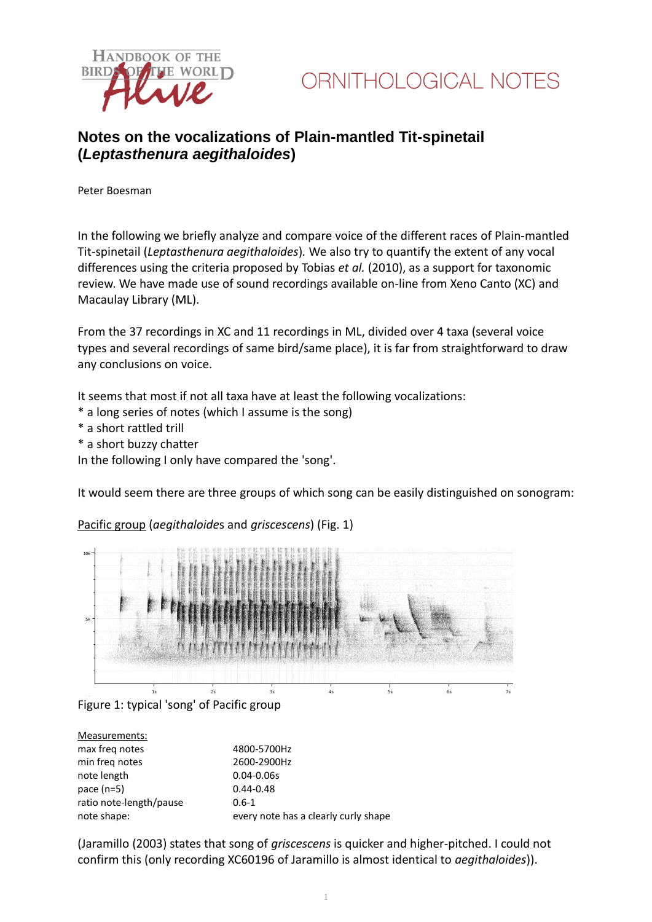

### **Notes on the vocalizations of Plain-mantled Tit-spinetail (***Leptasthenura aegithaloides***)**

Peter Boesman

In the following we briefly analyze and compare voice of the different races of Plain-mantled Tit-spinetail (*Leptasthenura aegithaloides*)*.* We also try to quantify the extent of any vocal differences using the criteria proposed by Tobias *et al.* (2010), as a support for taxonomic review. We have made use of sound recordings available on-line from Xeno Canto (XC) and Macaulay Library (ML).

From the 37 recordings in XC and 11 recordings in ML, divided over 4 taxa (several voice types and several recordings of same bird/same place), it is far from straightforward to draw any conclusions on voice.

It seems that most if not all taxa have at least the following vocalizations:

- \* a long series of notes (which I assume is the song)
- \* a short rattled trill
- \* a short buzzy chatter

In the following I only have compared the 'song'.

It would seem there are three groups of which song can be easily distinguished on sonogram:



Pacific group (*aegithaloide*s and *griscescens*) (Fig. 1)

Figure 1: typical 'song' of Pacific group

| Measurements:           |                                      |
|-------------------------|--------------------------------------|
| max freq notes          | 4800-5700Hz                          |
| min freq notes          | 2600-2900Hz                          |
| note length             | $0.04 - 0.06s$                       |
| pace $(n=5)$            | $0.44 - 0.48$                        |
| ratio note-length/pause | $0.6 - 1$                            |
| note shape:             | every note has a clearly curly shape |

(Jaramillo (2003) states that song of *griscescens* is quicker and higher-pitched. I could not confirm this (only recording XC60196 of Jaramillo is almost identical to *aegithaloides*)).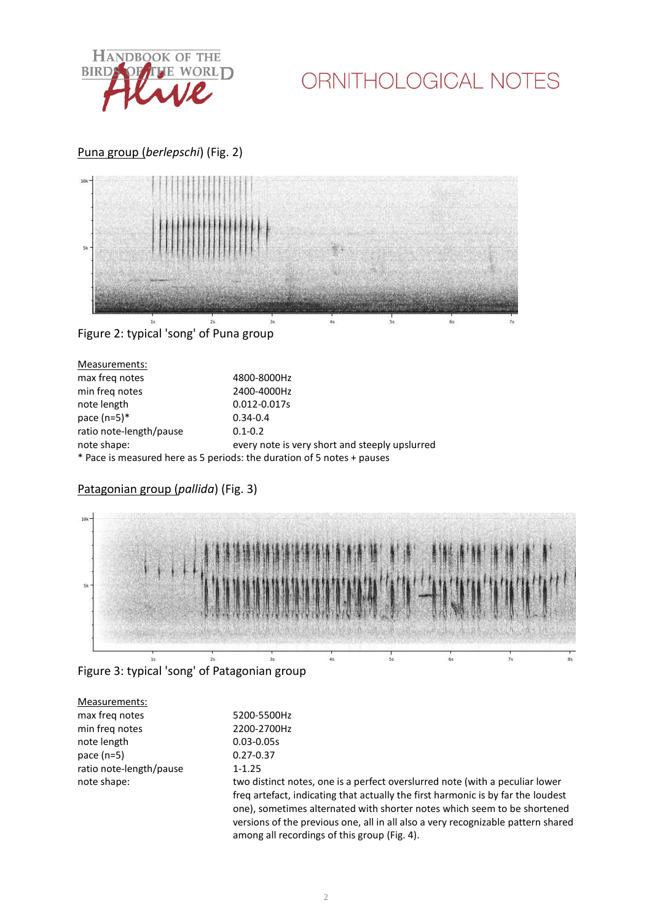

# ORNITHOLOGICAL NOTES

#### Puna group (*berlepschi*) (Fig. 2)



### Figure 2: typical 'song' of Puna group

| Measurements:           |                                                                        |
|-------------------------|------------------------------------------------------------------------|
| max freq notes          | 4800-8000Hz                                                            |
| min freg notes          | 2400-4000Hz                                                            |
| note length             | 0.012-0.017s                                                           |
| pace $(n=5)*$           | $0.34 - 0.4$                                                           |
| ratio note-length/pause | $0.1 - 0.2$                                                            |
| note shape:             | every note is very short and steeply upslurred                         |
|                         | * Pace is measured here as 5 periods: the duration of 5 notes + pauses |

#### Patagonian group (*pallida*) (Fig. 3)



#### Figure 3: typical 'song' of Patagonian group

| Measurements:           |                                                                                  |
|-------------------------|----------------------------------------------------------------------------------|
| max freg notes          | 5200-5500Hz                                                                      |
| min freq notes          | 2200-2700Hz                                                                      |
| note length             | $0.03 - 0.05s$                                                                   |
| pace $(n=5)$            | $0.27 - 0.37$                                                                    |
| ratio note-length/pause | $1 - 1.25$                                                                       |
| note shape:             | two distinct notes, one is a perfect overslurred note (with a peculiar lower     |
|                         | freq artefact, indicating that actually the first harmonic is by far the loudest |
|                         | one), sometimes alternated with shorter notes which seem to be shortened         |
|                         | versions of the previous one, all in all also a very recognizable pattern shared |
|                         | among all recordings of this group (Fig. 4).                                     |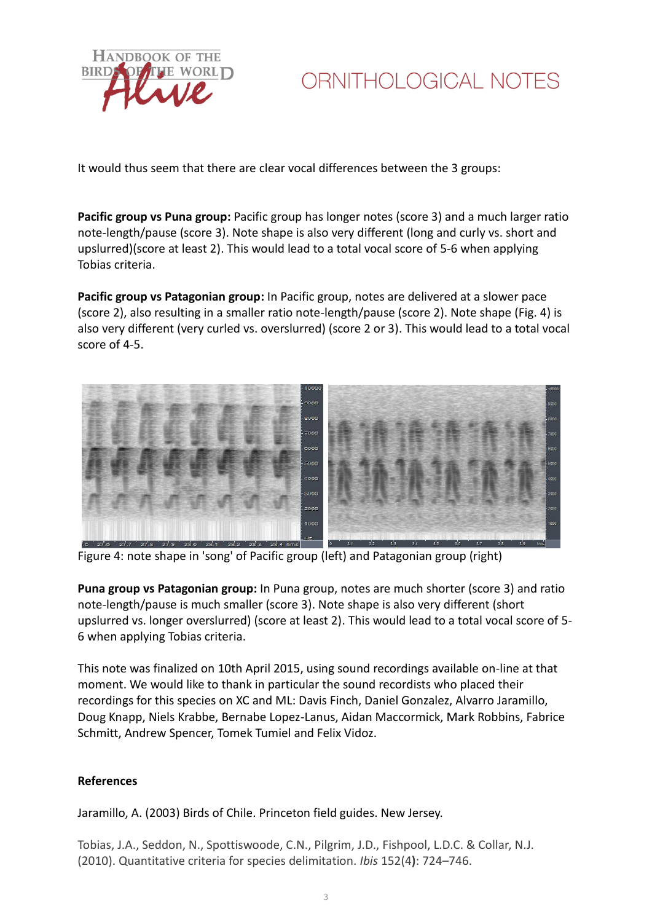

# ORNITHOLOGICAL NOTES

It would thus seem that there are clear vocal differences between the 3 groups:

**Pacific group vs Puna group:** Pacific group has longer notes (score 3) and a much larger ratio note-length/pause (score 3). Note shape is also very different (long and curly vs. short and upslurred)(score at least 2). This would lead to a total vocal score of 5-6 when applying Tobias criteria.

**Pacific group vs Patagonian group:** In Pacific group, notes are delivered at a slower pace (score 2), also resulting in a smaller ratio note-length/pause (score 2). Note shape (Fig. 4) is also very different (very curled vs. overslurred) (score 2 or 3). This would lead to a total vocal score of 4-5.



Figure 4: note shape in 'song' of Pacific group (left) and Patagonian group (right)

**Puna group vs Patagonian group:** In Puna group, notes are much shorter (score 3) and ratio note-length/pause is much smaller (score 3). Note shape is also very different (short upslurred vs. longer overslurred) (score at least 2). This would lead to a total vocal score of 5- 6 when applying Tobias criteria.

This note was finalized on 10th April 2015, using sound recordings available on-line at that moment. We would like to thank in particular the sound recordists who placed their recordings for this species on XC and ML: Davis Finch, Daniel Gonzalez, Alvarro Jaramillo, Doug Knapp, Niels Krabbe, Bernabe Lopez-Lanus, Aidan Maccormick, Mark Robbins, Fabrice Schmitt, Andrew Spencer, Tomek Tumiel and Felix Vidoz.

#### **References**

Jaramillo, A. (2003) Birds of Chile. Princeton field guides. New Jersey.

Tobias, J.A., Seddon, N., Spottiswoode, C.N., Pilgrim, J.D., Fishpool, L.D.C. & Collar, N.J. (2010). Quantitative criteria for species delimitation. *Ibis* 152(4**)**: 724–746.